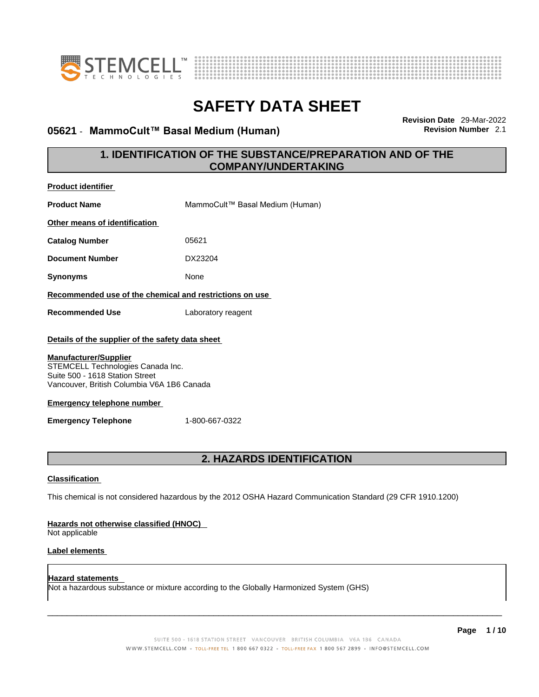



## **05621 · MammoCult™ Basal Medium (Human)**

**Revision Date** 29-Mar-2022

## **1. IDENTIFICATION OF THE SUBSTANCE/PREPARATION AND OF THE COMPANY/UNDERTAKING**

| <b>Product identifier</b>                                                                                                                        |                                                                                                             |
|--------------------------------------------------------------------------------------------------------------------------------------------------|-------------------------------------------------------------------------------------------------------------|
| <b>Product Name</b>                                                                                                                              | MammoCult™ Basal Medium (Human)                                                                             |
| Other means of identification                                                                                                                    |                                                                                                             |
| <b>Catalog Number</b>                                                                                                                            | 05621                                                                                                       |
| <b>Document Number</b>                                                                                                                           | DX23204                                                                                                     |
| <b>Synonyms</b>                                                                                                                                  | None                                                                                                        |
| Recommended use of the chemical and restrictions on use                                                                                          |                                                                                                             |
| <b>Recommended Use</b>                                                                                                                           | Laboratory reagent                                                                                          |
| Details of the supplier of the safety data sheet                                                                                                 |                                                                                                             |
| Suite 500 - 1618 Station Street<br>Vancouver, British Columbia V6A 1B6 Canada<br><b>Emergency telephone number</b><br><b>Emergency Telephone</b> | 1-800-667-0322                                                                                              |
|                                                                                                                                                  | 2. HAZARDS IDENTIFICATION                                                                                   |
| <b>Classification</b>                                                                                                                            |                                                                                                             |
|                                                                                                                                                  | This chemical is not considered hazardous by the 2012 OSHA Hazard Communication Standard (29 CFR 1910.1200) |
| Hazards not otherwise classified (HNOC)<br>Not applicable                                                                                        |                                                                                                             |
| Label elements                                                                                                                                   |                                                                                                             |
| <b>Hazard statements</b>                                                                                                                         | Not a hazardous substance or mixture according to the Globally Harmonized System (GHS)                      |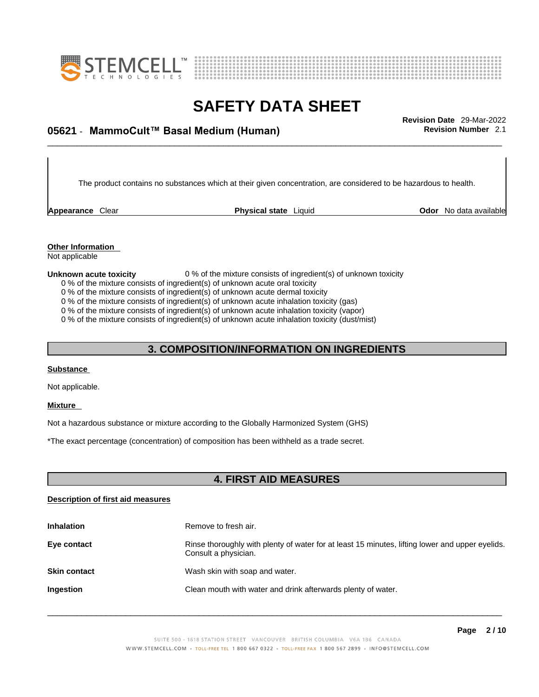



## \_\_\_\_\_\_\_\_\_\_\_\_\_\_\_\_\_\_\_\_\_\_\_\_\_\_\_\_\_\_\_\_\_\_\_\_\_\_\_\_\_\_\_\_\_\_\_\_\_\_\_\_\_\_\_\_\_\_\_\_\_\_\_\_\_\_\_\_\_\_\_\_\_\_\_\_\_\_\_\_\_\_\_\_\_\_\_\_\_\_\_\_\_ **Revision Date** 29-Mar-2022 **05621** - **MammoCult™ Basal Medium (Human) Revision Number** 2.1

The product contains no substances which at their given concentration, are considered to be hazardous to health.

**Appearance** Clear **Physical state** Liquid

**Odor** No data available

**Other Information**  Not applicable

#### **Unknown acute toxicity** 0 % of the mixture consists of ingredient(s) of unknown toxicity

0 % of the mixture consists of ingredient(s) of unknown acute oral toxicity

0 % of the mixture consists of ingredient(s) of unknown acute dermal toxicity

0 % of the mixture consists of ingredient(s) of unknown acute inhalation toxicity (gas)

0 % of the mixture consists of ingredient(s) of unknown acute inhalation toxicity (vapor)

0 % of the mixture consists of ingredient(s) of unknown acute inhalation toxicity (dust/mist)

## **3. COMPOSITION/INFORMATION ON INGREDIENTS**

### **Substance**

Not applicable.

### **Mixture**

Not a hazardous substance or mixture according to the Globally Harmonized System (GHS)

\*The exact percentage (concentration) of composition has been withheld as a trade secret.

### **4. FIRST AID MEASURES**

### **Description of first aid measures**

| <b>Inhalation</b>   | Remove to fresh air.                                                                                                    |
|---------------------|-------------------------------------------------------------------------------------------------------------------------|
| Eye contact         | Rinse thoroughly with plenty of water for at least 15 minutes, lifting lower and upper eyelids.<br>Consult a physician. |
| <b>Skin contact</b> | Wash skin with soap and water.                                                                                          |
| <b>Ingestion</b>    | Clean mouth with water and drink afterwards plenty of water.                                                            |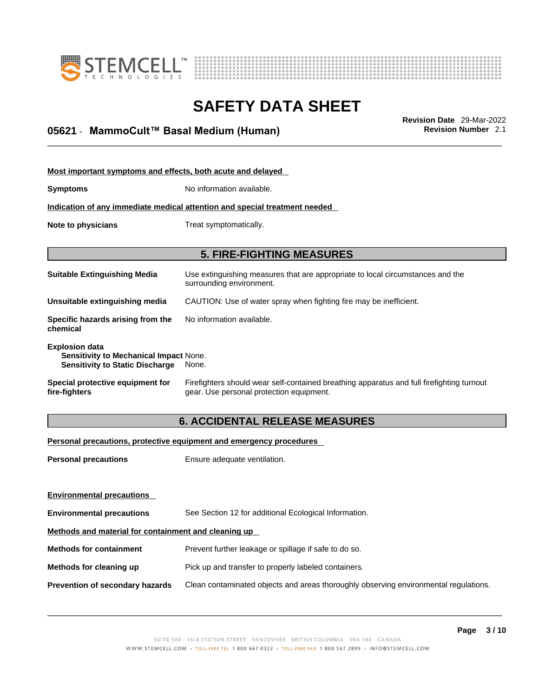



## \_\_\_\_\_\_\_\_\_\_\_\_\_\_\_\_\_\_\_\_\_\_\_\_\_\_\_\_\_\_\_\_\_\_\_\_\_\_\_\_\_\_\_\_\_\_\_\_\_\_\_\_\_\_\_\_\_\_\_\_\_\_\_\_\_\_\_\_\_\_\_\_\_\_\_\_\_\_\_\_\_\_\_\_\_\_\_\_\_\_\_\_\_ **Revision Date** 29-Mar-2022 **05621** - **MammoCult™ Basal Medium (Human) Revision Number** 2.1

| Most important symptoms and effects, both acute and delayed                                                      |                                                                                                                                       |  |
|------------------------------------------------------------------------------------------------------------------|---------------------------------------------------------------------------------------------------------------------------------------|--|
| <b>Symptoms</b>                                                                                                  | No information available.                                                                                                             |  |
|                                                                                                                  | Indication of any immediate medical attention and special treatment needed                                                            |  |
| Note to physicians<br>Treat symptomatically.                                                                     |                                                                                                                                       |  |
|                                                                                                                  |                                                                                                                                       |  |
|                                                                                                                  | <b>5. FIRE-FIGHTING MEASURES</b>                                                                                                      |  |
| <b>Suitable Extinguishing Media</b>                                                                              | Use extinguishing measures that are appropriate to local circumstances and the<br>surrounding environment.                            |  |
| Unsuitable extinguishing media                                                                                   | CAUTION: Use of water spray when fighting fire may be inefficient.                                                                    |  |
| Specific hazards arising from the<br>chemical                                                                    | No information available.                                                                                                             |  |
| <b>Explosion data</b><br><b>Sensitivity to Mechanical Impact None.</b><br><b>Sensitivity to Static Discharge</b> | None.                                                                                                                                 |  |
| Special protective equipment for<br>fire-fighters                                                                | Firefighters should wear self-contained breathing apparatus and full firefighting turnout<br>gear. Use personal protection equipment. |  |

## **6. ACCIDENTAL RELEASE MEASURES**

### **Personal precautions, protective equipment and emergency procedures**

| <b>Personal precautions</b>                          | Ensure adequate ventilation.                                                         |  |
|------------------------------------------------------|--------------------------------------------------------------------------------------|--|
| <b>Environmental precautions</b>                     |                                                                                      |  |
| <b>Environmental precautions</b>                     | See Section 12 for additional Ecological Information.                                |  |
| Methods and material for containment and cleaning up |                                                                                      |  |
| <b>Methods for containment</b>                       | Prevent further leakage or spillage if safe to do so.                                |  |
| Methods for cleaning up                              | Pick up and transfer to properly labeled containers.                                 |  |
| Prevention of secondary hazards                      | Clean contaminated objects and areas thoroughly observing environmental regulations. |  |
|                                                      |                                                                                      |  |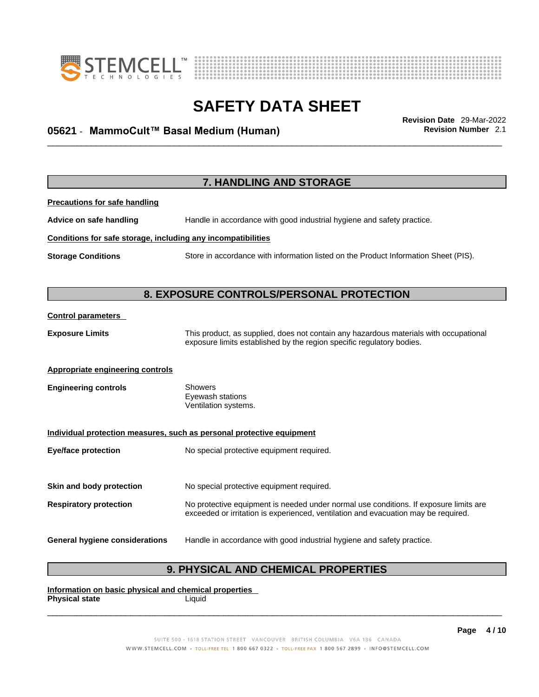



## \_\_\_\_\_\_\_\_\_\_\_\_\_\_\_\_\_\_\_\_\_\_\_\_\_\_\_\_\_\_\_\_\_\_\_\_\_\_\_\_\_\_\_\_\_\_\_\_\_\_\_\_\_\_\_\_\_\_\_\_\_\_\_\_\_\_\_\_\_\_\_\_\_\_\_\_\_\_\_\_\_\_\_\_\_\_\_\_\_\_\_\_\_ **Revision Date** 29-Mar-2022 **05621** - **MammoCult™ Basal Medium (Human) Revision Number** 2.1

**7. HANDLING AND STORAGE Precautions for safe handling Advice on safe handling** Handle in accordance with good industrial hygiene and safety practice. **Conditions for safe storage, including any incompatibilities Storage Conditions** Store in accordance with information listed on the Product Information Sheet (PIS). **8. EXPOSURE CONTROLS/PERSONAL PROTECTION Control parameters Exposure Limits** This product, as supplied, does not contain any hazardous materials with occupational exposure limits established by the region specific regulatory bodies. **Appropriate engineering controls Engineering controls** Showers Eyewash stations Ventilation systems. **Individual protection measures, such as personal protective equipment Eye/face protection** No special protective equipment required. **Skin and body protection** No special protective equipment required. **Respiratory protection** No protective equipment is needed under normal use conditions. If exposure limits are exceeded or irritation is experienced, ventilation and evacuation may be required. **General hygiene considerations** Handle in accordance with good industrial hygiene and safety practice.

## **9. PHYSICAL AND CHEMICAL PROPERTIES**

**Information on basic physical and chemical properties Physical state** Liquid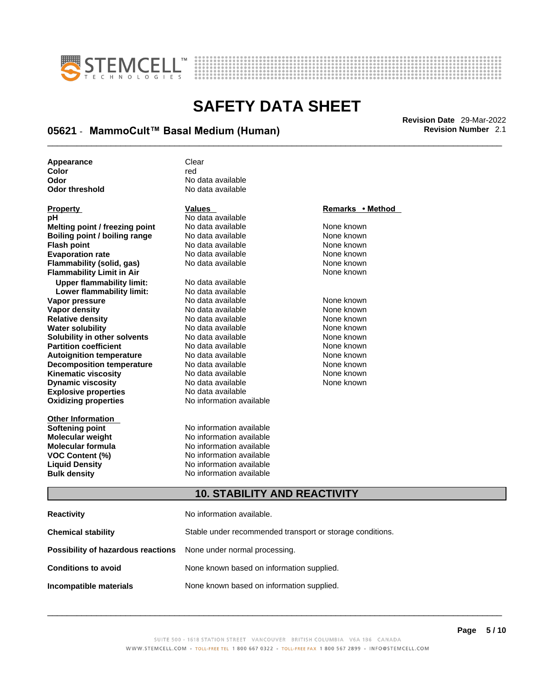



## \_\_\_\_\_\_\_\_\_\_\_\_\_\_\_\_\_\_\_\_\_\_\_\_\_\_\_\_\_\_\_\_\_\_\_\_\_\_\_\_\_\_\_\_\_\_\_\_\_\_\_\_\_\_\_\_\_\_\_\_\_\_\_\_\_\_\_\_\_\_\_\_\_\_\_\_\_\_\_\_\_\_\_\_\_\_\_\_\_\_\_\_\_ **Revision Date** 29-Mar-2022 **05621** - **MammoCult™ Basal Medium (Human) Revision Number** 2.1

| Appearance     | Clear             |
|----------------|-------------------|
| Color          | red               |
| Odor           | No data available |
| Odor threshold | No data available |

| <u>Property</u>                  | values                   | Remarks • Method |
|----------------------------------|--------------------------|------------------|
| рH                               | No data available        |                  |
| Melting point / freezing point   | No data available        | None known       |
| Boiling point / boiling range    | No data available        | None known       |
| <b>Flash point</b>               | No data available        | None known       |
| <b>Evaporation rate</b>          | No data available        | None known       |
| <b>Flammability (solid, gas)</b> | No data available        | None known       |
| <b>Flammability Limit in Air</b> |                          | None known       |
| <b>Upper flammability limit:</b> | No data available        |                  |
| Lower flammability limit:        | No data available        |                  |
| Vapor pressure                   | No data available        | None known       |
| Vapor density                    | No data available        | None known       |
| <b>Relative density</b>          | No data available        | None known       |
| <b>Water solubility</b>          | No data available        | None known       |
| Solubility in other solvents     | No data available        | None known       |
| <b>Partition coefficient</b>     | No data available        | None known       |
| <b>Autoignition temperature</b>  | No data available        | None known       |
| <b>Decomposition temperature</b> | No data available        | None known       |
| <b>Kinematic viscosity</b>       | No data available        | None known       |
| <b>Dynamic viscosity</b>         | No data available        | None known       |
| <b>Explosive properties</b>      | No data available        |                  |
| <b>Oxidizing properties</b>      | No information available |                  |
| <b>Other Information</b>         |                          |                  |
| Softening point                  | No information available |                  |
| <b>Molecular weight</b>          | No information available |                  |
| <b>Molecular formula</b>         | No information available |                  |
| <b>VOC Content (%)</b>           | No information available |                  |
| <b>Liquid Density</b>            | No information available |                  |
| <b>Bulk density</b>              | No information available |                  |

### **Property Values Remarks • Method**

### **10. STABILITY AND REACTIVITY**

| <b>Reactivity</b>                                                       | No information available.                                 |
|-------------------------------------------------------------------------|-----------------------------------------------------------|
| <b>Chemical stability</b>                                               | Stable under recommended transport or storage conditions. |
| <b>Possibility of hazardous reactions</b> None under normal processing. |                                                           |
| <b>Conditions to avoid</b>                                              | None known based on information supplied.                 |
| Incompatible materials                                                  | None known based on information supplied.                 |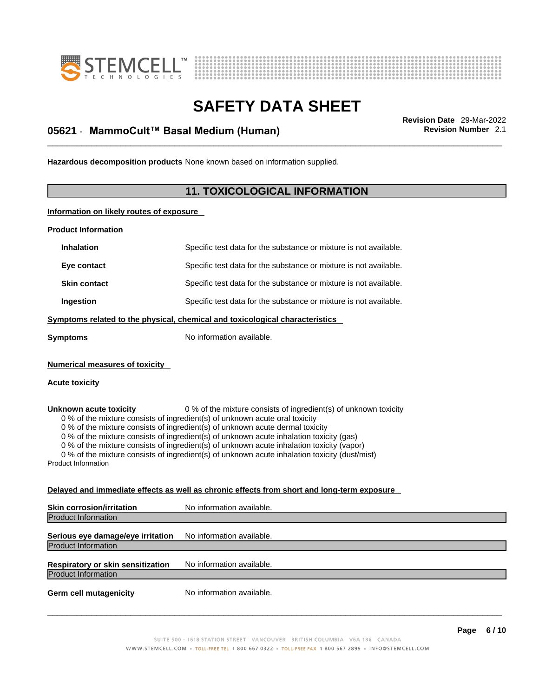



## \_\_\_\_\_\_\_\_\_\_\_\_\_\_\_\_\_\_\_\_\_\_\_\_\_\_\_\_\_\_\_\_\_\_\_\_\_\_\_\_\_\_\_\_\_\_\_\_\_\_\_\_\_\_\_\_\_\_\_\_\_\_\_\_\_\_\_\_\_\_\_\_\_\_\_\_\_\_\_\_\_\_\_\_\_\_\_\_\_\_\_\_\_ **Revision Date** 29-Mar-2022 **05621** - **MammoCult™ Basal Medium (Human) Revision Number** 2.1

**Hazardous decomposition products** None known based on information supplied.

## **11. TOXICOLOGICAL INFORMATION**

**Information on likely routes of exposure**

**Product Information**

| <b>Inhalation</b>                                                                                                                                                                                                                                                                                                                                                                                                                                                                                                                                                                 | Specific test data for the substance or mixture is not available. |  |
|-----------------------------------------------------------------------------------------------------------------------------------------------------------------------------------------------------------------------------------------------------------------------------------------------------------------------------------------------------------------------------------------------------------------------------------------------------------------------------------------------------------------------------------------------------------------------------------|-------------------------------------------------------------------|--|
| Eye contact                                                                                                                                                                                                                                                                                                                                                                                                                                                                                                                                                                       | Specific test data for the substance or mixture is not available. |  |
| <b>Skin contact</b>                                                                                                                                                                                                                                                                                                                                                                                                                                                                                                                                                               | Specific test data for the substance or mixture is not available. |  |
| Ingestion                                                                                                                                                                                                                                                                                                                                                                                                                                                                                                                                                                         | Specific test data for the substance or mixture is not available. |  |
| Symptoms related to the physical, chemical and toxicological characteristics                                                                                                                                                                                                                                                                                                                                                                                                                                                                                                      |                                                                   |  |
| No information available.<br>Symptoms                                                                                                                                                                                                                                                                                                                                                                                                                                                                                                                                             |                                                                   |  |
| <b>Numerical measures of toxicity</b><br>Acute toxicity                                                                                                                                                                                                                                                                                                                                                                                                                                                                                                                           |                                                                   |  |
| 0 % of the mixture consists of ingredient(s) of unknown toxicity<br>Unknown acute toxicity<br>0 % of the mixture consists of ingredient(s) of unknown acute oral toxicity<br>0 % of the mixture consists of ingredient(s) of unknown acute dermal toxicity<br>0 % of the mixture consists of ingredient(s) of unknown acute inhalation toxicity (gas)<br>0 % of the mixture consists of ingredient(s) of unknown acute inhalation toxicity (vapor)<br>0 % of the mixture consists of ingredient(s) of unknown acute inhalation toxicity (dust/mist)<br><b>Product Information</b> |                                                                   |  |
| Delayed and immediate effects as well as chronic effects from short and long-term exposure                                                                                                                                                                                                                                                                                                                                                                                                                                                                                        |                                                                   |  |
|                                                                                                                                                                                                                                                                                                                                                                                                                                                                                                                                                                                   |                                                                   |  |

| <b>Skin corrosion/irritation</b>         | No information available. |
|------------------------------------------|---------------------------|
| <b>Product Information</b>               |                           |
|                                          |                           |
| Serious eye damage/eye irritation        | No information available. |
| <b>Product Information</b>               |                           |
|                                          |                           |
| <b>Respiratory or skin sensitization</b> | No information available. |
| <b>Product Information</b>               |                           |
|                                          |                           |
| <b>Germ cell mutagenicity</b>            | No information available. |
|                                          |                           |
|                                          |                           |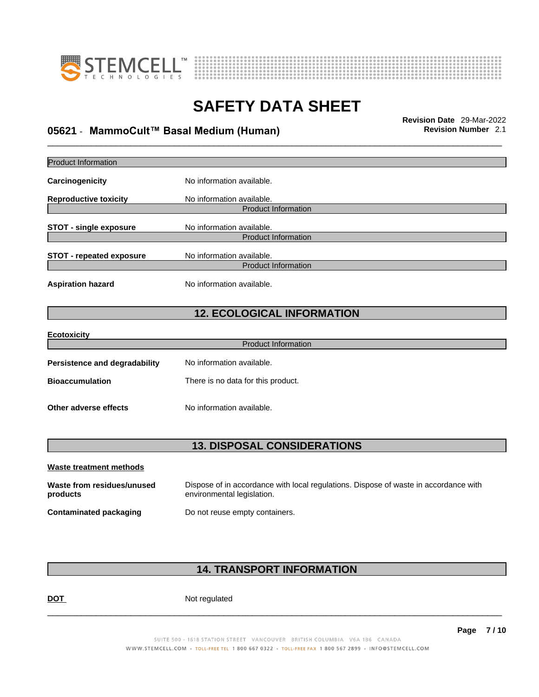



## \_\_\_\_\_\_\_\_\_\_\_\_\_\_\_\_\_\_\_\_\_\_\_\_\_\_\_\_\_\_\_\_\_\_\_\_\_\_\_\_\_\_\_\_\_\_\_\_\_\_\_\_\_\_\_\_\_\_\_\_\_\_\_\_\_\_\_\_\_\_\_\_\_\_\_\_\_\_\_\_\_\_\_\_\_\_\_\_\_\_\_\_\_ **Revision Date** 29-Mar-2022 **05621** - **MammoCult™ Basal Medium (Human) Revision Number** 2.1

| <b>Product Information</b>             |                                                                                                                    |
|----------------------------------------|--------------------------------------------------------------------------------------------------------------------|
| Carcinogenicity                        | No information available.                                                                                          |
| <b>Reproductive toxicity</b>           | No information available.                                                                                          |
|                                        | <b>Product Information</b>                                                                                         |
| <b>STOT - single exposure</b>          | No information available.<br><b>Product Information</b>                                                            |
|                                        |                                                                                                                    |
| <b>STOT - repeated exposure</b>        | No information available.<br><b>Product Information</b>                                                            |
| <b>Aspiration hazard</b>               | No information available.                                                                                          |
|                                        | <b>12. ECOLOGICAL INFORMATION</b>                                                                                  |
| <b>Ecotoxicity</b>                     |                                                                                                                    |
|                                        | <b>Product Information</b>                                                                                         |
| <b>Persistence and degradability</b>   | No information available.                                                                                          |
| <b>Bioaccumulation</b>                 | There is no data for this product.                                                                                 |
| Other adverse effects                  | No information available.                                                                                          |
|                                        |                                                                                                                    |
|                                        | <b>13. DISPOSAL CONSIDERATIONS</b>                                                                                 |
| Waste treatment methods                |                                                                                                                    |
| Waste from residues/unused<br>products | Dispose of in accordance with local regulations. Dispose of waste in accordance with<br>environmental legislation. |
| <b>Contaminated packaging</b>          | Do not reuse empty containers.                                                                                     |

## **14. TRANSPORT INFORMATION**

DOT Not regulated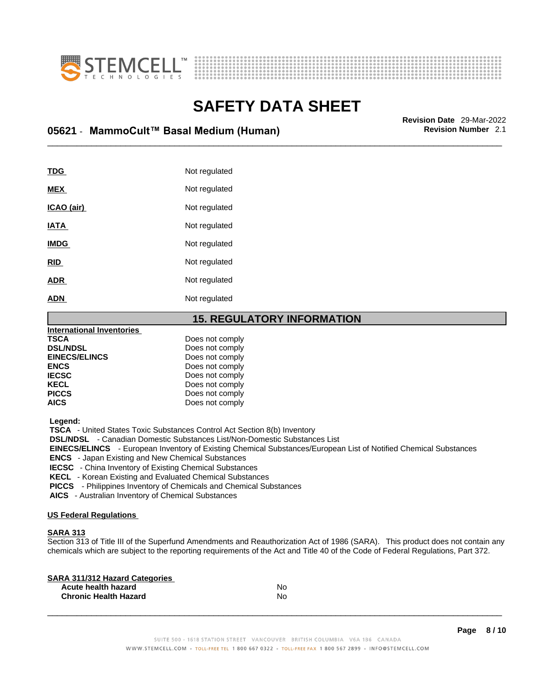



## \_\_\_\_\_\_\_\_\_\_\_\_\_\_\_\_\_\_\_\_\_\_\_\_\_\_\_\_\_\_\_\_\_\_\_\_\_\_\_\_\_\_\_\_\_\_\_\_\_\_\_\_\_\_\_\_\_\_\_\_\_\_\_\_\_\_\_\_\_\_\_\_\_\_\_\_\_\_\_\_\_\_\_\_\_\_\_\_\_\_\_\_\_ **Revision Date** 29-Mar-2022 **05621** - **MammoCult™ Basal Medium (Human) Revision Number** 2.1

| TDG         | Not regulated |
|-------------|---------------|
| <b>MEX</b>  | Not regulated |
| ICAO (air)  | Not regulated |
| <b>IATA</b> | Not regulated |
| <b>IMDG</b> | Not regulated |
| <b>RID</b>  | Not regulated |
| <b>ADR</b>  | Not regulated |
| <b>ADN</b>  | Not regulated |
|             |               |

### **15. REGULATORY INFORMATION**

| <b>International Inventories</b> |                 |  |
|----------------------------------|-----------------|--|
| <b>TSCA</b>                      | Does not comply |  |
| <b>DSL/NDSL</b>                  | Does not comply |  |
| <b>EINECS/ELINCS</b>             | Does not comply |  |
| <b>ENCS</b>                      | Does not comply |  |
| <b>IECSC</b>                     | Does not comply |  |
| <b>KECL</b>                      | Does not comply |  |
| <b>PICCS</b>                     | Does not comply |  |
| <b>AICS</b>                      | Does not comply |  |
|                                  |                 |  |

 **Legend:** 

 **TSCA** - United States Toxic Substances Control Act Section 8(b) Inventory

 **DSL/NDSL** - Canadian Domestic Substances List/Non-Domestic Substances List

 **EINECS/ELINCS** - European Inventory of Existing Chemical Substances/European List of Notified Chemical Substances

 **ENCS** - Japan Existing and New Chemical Substances

 **IECSC** - China Inventory of Existing Chemical Substances

 **KECL** - Korean Existing and Evaluated Chemical Substances

 **PICCS** - Philippines Inventory of Chemicals and Chemical Substances

 **AICS** - Australian Inventory of Chemical Substances

### **US Federal Regulations**

### **SARA 313**

Section 313 of Title III of the Superfund Amendments and Reauthorization Act of 1986 (SARA). This product does not contain any chemicals which are subject to the reporting requirements of the Act and Title 40 of the Code of Federal Regulations, Part 372.

| No |  |
|----|--|
| N٥ |  |
|    |  |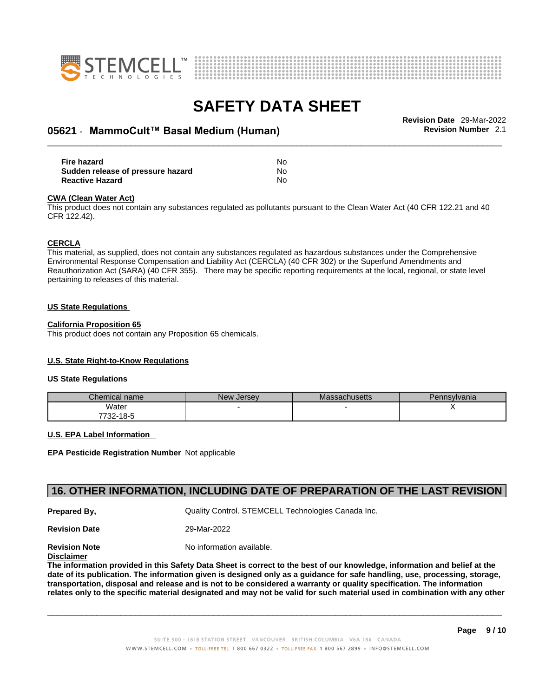



## \_\_\_\_\_\_\_\_\_\_\_\_\_\_\_\_\_\_\_\_\_\_\_\_\_\_\_\_\_\_\_\_\_\_\_\_\_\_\_\_\_\_\_\_\_\_\_\_\_\_\_\_\_\_\_\_\_\_\_\_\_\_\_\_\_\_\_\_\_\_\_\_\_\_\_\_\_\_\_\_\_\_\_\_\_\_\_\_\_\_\_\_\_ **Revision Date** 29-Mar-2022 **05621** - **MammoCult™ Basal Medium (Human) Revision Number** 2.1

| Fire hazard                       | No        |
|-----------------------------------|-----------|
| Sudden release of pressure hazard | <b>No</b> |
| <b>Reactive Hazard</b>            | No        |

#### **CWA** (Clean Water Act)

This product does not contain any substances regulated as pollutants pursuant to the Clean Water Act (40 CFR 122.21 and 40 CFR 122.42).

#### **CERCLA**

This material, as supplied, does not contain any substances regulated as hazardous substances under the Comprehensive Environmental Response Compensation and Liability Act (CERCLA) (40 CFR 302) or the Superfund Amendments and Reauthorization Act (SARA) (40 CFR 355). There may be specific reporting requirements at the local, regional, or state level pertaining to releases of this material.

#### **US State Regulations**

#### **California Proposition 65**

This product does not contain any Proposition 65 chemicals.

### **U.S. State Right-to-Know Regulations**

#### **US State Regulations**

| Chemical name     | New<br><b>Jersey</b> | <b>Massachusetts</b> | Pennsylvania |
|-------------------|----------------------|----------------------|--------------|
| Water             |                      |                      |              |
| 7700.<br>732-18-5 |                      |                      |              |

#### **U.S. EPA Label Information**

**EPA Pesticide Registration Number** Not applicable

### **16. OTHER INFORMATION, INCLUDING DATE OF PREPARATION OF THE LAST REVISION**

**Prepared By, State Control. STEMCELL Technologies Canada Inc.** Cuality Control. STEMCELL Technologies Canada Inc.

**Revision Date** 29-Mar-2022

**Revision Note** Noinformation available.

**Disclaimer**

The information provided in this Safety Data Sheet is correct to the best of our knowledge, information and belief at the date of its publication. The information given is designed only as a guidance for safe handling, use, processing, storage, transportation, disposal and release and is not to be considered a warranty or quality specification. The information relates only to the specific material designated and may not be valid for such material used in combination with any other